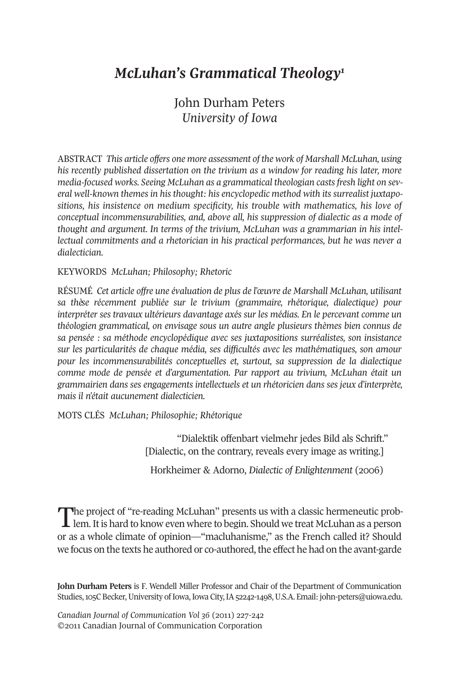# *McLuhan's Grammatical Theology1*

## John Durham Peters *University of Iowa*

ABSTRACT *This article offers one more assessment of the work of Marshall McLuhan, using his recently published dissertation on the trivium as a window for reading his later, more media-focused works. Seeing McLuhan as a grammatical theologian castsfresh light on several well-known themes in his thought: his encyclopedic method with its surrealist juxtapositions, his insistence on medium specificity, his trouble with mathematics, his love of conceptual incommensurabilities, and, above all, his suppression of dialectic as a mode of thought and argument. In terms of the trivium, McLuhan was a grammarian in his intellectual commitments and a rhetorician in his practical performances, but he was never a dialectician.*

### KEYWORDS *McLuhan; Philosophy; Rhetoric*

RÉSUMÉ *Cet article offre une évaluation de plus de l'œuvre de Marshall McLuhan, utilisant sa thèse récemment publiée sur le trivium (grammaire, rhétorique, dialectique) pour interpréter ses travaux ultérieurs davantage axés sur les médias. En le percevant comme un théologien grammatical, on envisage sous un autre angle plusieurs thèmes bien connus de sa pensée : sa méthode encyclopédique avec ses juxtapositions surréalistes, son insistance sur les particularités de chaque média, ses difficultés avec les mathématiques, son amour pour les incommensurabilités conceptuelles et, surtout, sa suppression de la dialectique comme mode de pensée et d'argumentation. Par rapport au trivium, McLuhan était un grammairien dans ses engagements intellectuels et un rhétoricien dans ses jeux d'interprète, mais il n'était aucunement dialecticien.*

MOTS CLÉS *McLuhan; Philosophie; Rhétorique*

"Dialektik offenbart vielmehr jedes Bild als Schrift." [Dialectic, on the contrary, reveals every image as writing.]

Horkheimer & Adorno, *Dialectic of Enlightenment* (2006)

The project of "re-reading McLuhan" presents us with a classic hermeneutic prob-<br>lem. It is hard to know even where to begin. Should we treat McLuhan as a person or as a whole climate of opinion—"macluhanisme," as the French called it? Should we focus on the texts he authored or co-authored, the effect he had on the avant-garde

**John Durham Peters** is F. Wendell Miller Professor and Chair of the Department of Communication Studies, 105C Becker, University of Iowa, Iowa City, IA 52242-1498, U.S.A. Email: [john-peters@uiowa.edu.](mailto:john-peters@uiowa.edu)

*Canadian Journal of Communication Vol 36* (2011) 227-242 ©2011 Canadian Journal of Communication Corporation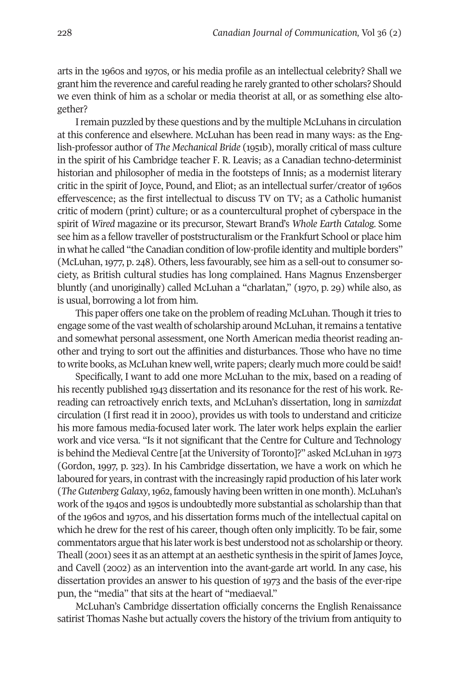arts in the 1960s and 1970s, or his media profile as an intellectual celebrity? Shall we grant him the reverence and careful reading he rarely granted to other scholars? Should we even think of him as a scholar or media theorist at all, or as something else altogether?

Iremain puzzled by these questions and by the multiple McLuhans in circulation at this conference and elsewhere. McLuhan has been read in many ways: as the English-professor author of *The Mechanical Bride* (1951b), morally critical of mass culture in the spirit of his Cambridge teacher F. R. Leavis; as a Canadian techno-determinist historian and philosopher of media in the footsteps of Innis; as a modernist literary critic in the spirit of Joyce, Pound, and Eliot; as an intellectual surfer/creator of 1960s effervescence; as the first intellectual to discuss TV on TV; as a Catholic humanist critic of modern (print) culture; or as a countercultural prophet of cyberspace in the spirit of *Wired* magazine or its precursor, Stewart Brand's *Whole Earth Catalog*. Some see him as a fellow traveller of poststructuralism orthe Frankfurt School or place him in what he called "the Canadian condition of low-profile identity and multiple borders" (McLuhan, 1977, p. 248). Others, less favourably, see him as a sell-out to consumer society, as British cultural studies has long complained. Hans Magnus Enzensberger bluntly (and unoriginally) called McLuhan a "charlatan," (1970, p. 29) while also, as is usual, borrowing a lot from him.

This paper offers one take on the problem of reading McLuhan. Though it tries to engage some ofthe vast wealth of scholarship around McLuhan, itremains a tentative and somewhat personal assessment, one North American media theorist reading another and trying to sort out the affinities and disturbances. Those who have no time to write books, as McLuhan knew well, write papers; clearly much more could be said!

Specifically, I want to add one more McLuhan to the mix, based on a reading of his recently published 1943 dissertation and its resonance for the rest of his work. Rereading can retroactively enrich texts, and McLuhan's dissertation, long in *samizdat* circulation (I first read it in 2000), provides us with tools to understand and criticize his more famous media-focused later work. The later work helps explain the earlier work and vice versa. "Is it not significant that the Centre for Culture and Technology is behind the Medieval Centre [attheUniversity of Toronto]?" asked McLuhan in 1973 (Gordon, 1997, p. 323). In his Cambridge dissertation, we have a work on which he laboured for years, in contrast with the increasingly rapid production of his later work (*TheGutenbergGalaxy*,1962, famously having been written in one month). McLuhan's work of the 1940s and 1950s is undoubtedly more substantial as scholarship than that of the 1960s and 1970s, and his dissertation forms much of the intellectual capital on which he drew for the rest of his career, though often only implicitly. To be fair, some commentators argue that his later work is best understood not as scholarship ortheory. Theall (2001) sees it as an attempt at an aesthetic synthesis in the spirit of James Joyce, and Cavell (2002) as an intervention into the avant-garde art world. In any case, his dissertation provides an answer to his question of 1973 and the basis of the ever-ripe pun, the "media" that sits at the heart of "mediaeval."

McLuhan's Cambridge dissertation officially concerns the English Renaissance satirist Thomas Nashe but actually covers the history of the trivium from antiquity to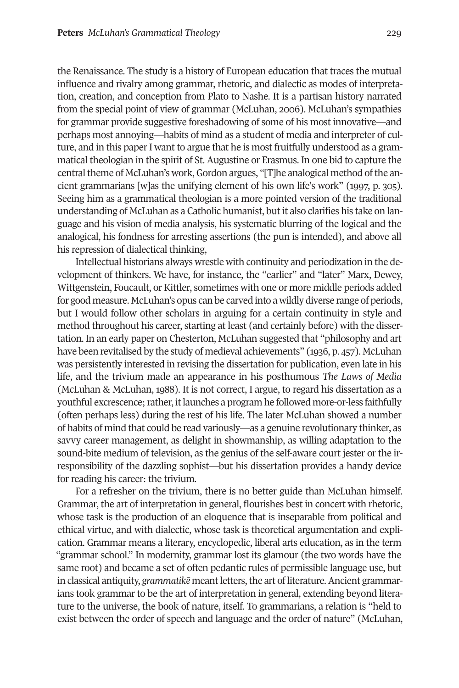the Renaissance. The study is a history of European education that traces the mutual influence and rivalry among grammar, rhetoric, and dialectic as modes of interpretation, creation, and conception from Plato to Nashe. It is a partisan history narrated from the special point of view of grammar (McLuhan, 2006). McLuhan's sympathies for grammar provide suggestive foreshadowing of some of his most innovative—and perhaps most annoying—habits of mind as a student of media and interpreter of culture, and in this paperI want to argue that he is most fruitfully understood as a grammatical theologian in the spirit of St. Augustine or Erasmus. In one bid to capture the central theme of McLuhan's work, Gordon argues, "[T]he analogical method of the ancient grammarians [w]as the unifying element of his own life's work" (1997, p. 305). Seeing him as a grammatical theologian is a more pointed version of the traditional understanding of McLuhan as a Catholic humanist, but it also clarifies his take on language and his vision of media analysis, his systematic blurring of the logical and the analogical, his fondness for arresting assertions (the pun is intended), and above all his repression of dialectical thinking,

Intellectual historians always wrestle with continuity and periodization in the development of thinkers. We have, for instance, the "earlier" and "later" Marx, Dewey, Wittgenstein, Foucault, or Kittler, sometimes with one or more middle periods added for good measure. McLuhan's opus can be carved into a wildly diverse range of periods, but I would follow other scholars in arguing for a certain continuity in style and method throughout his career, starting at least (and certainly before) with the dissertation. In an early paper on Chesterton, McLuhan suggested that "philosophy and art have been revitalised by the study of medieval achievements" (1936, p. 457). McLuhan was persistently interested in revising the dissertation for publication, even late in his life, and the trivium made an appearance in his posthumous *The Laws of Media* (McLuhan & McLuhan, 1988). It is not correct, I argue, to regard his dissertation as a youthful excrescence; rather, it launches a program he followed more-or-less faithfully (often perhaps less) during the rest of his life. The later McLuhan showed a number of habits of mind that could be read variously—as a genuine revolutionary thinker, as savvy career management, as delight in showmanship, as willing adaptation to the sound-bite medium of television, as the genius of the self-aware court jester or the irresponsibility of the dazzling sophist—but his dissertation provides a handy device for reading his career: the trivium.

For a refresher on the trivium, there is no better guide than McLuhan himself. Grammar, the art of interpretation in general, flourishes best in concert with rhetoric, whose task is the production of an eloquence that is inseparable from political and ethical virtue, and with dialectic, whose task is theoretical argumentation and explication. Grammar means a literary, encyclopedic, liberal arts education, as in the term "grammar school." In modernity, grammar lost its glamour (the two words have the same root) and became a set of often pedantic rules of permissible language use, but in classical antiquity, *grammatik* $\bar{e}$  meant letters, the art of literature. Ancient grammarians took grammar to be the art of interpretation in general, extending beyond literature to the universe, the book of nature, itself. To grammarians, a relation is "held to exist between the order of speech and language and the order of nature" (McLuhan,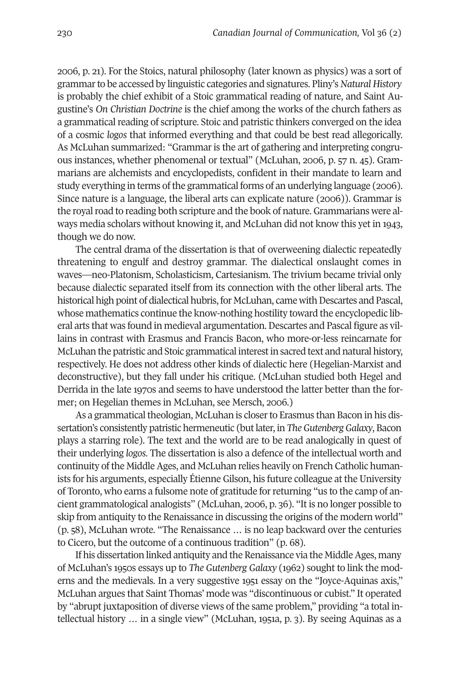2006, p. 21). For the Stoics, natural philosophy (later known as physics) was a sort of grammarto be accessed by linguistic categories and signatures. Pliny's*Natural History* is probably the chief exhibit of a Stoic grammatical reading of nature, and Saint Augustine's *On Christian Doctrine* is the chief among the works of the church fathers as a grammatical reading of scripture. Stoic and patristic thinkers converged on the idea of a cosmic *logos* that informed everything and that could be best read allegorically. As McLuhan summarized: "Grammar is the art of gathering and interpreting congruous instances, whether phenomenal or textual" (McLuhan, 2006, p. 57 n. 45). Grammarians are alchemists and encyclopedists, confident in their mandate to learn and study everything in terms of the grammatical forms of an underlying language (2006). Since nature is a language, the liberal arts can explicate nature (2006)). Grammar is the royal road to reading both scripture and the book of nature. Grammarians were always media scholars without knowing it, and McLuhan did not know this yet in 1943, though we do now.

The central drama of the dissertation is that of overweening dialectic repeatedly threatening to engulf and destroy grammar. The dialectical onslaught comes in waves—neo-Platonism, Scholasticism, Cartesianism. The trivium became trivial only because dialectic separated itself from its connection with the other liberal arts. The historical high point of dialectical hubris, for McLuhan, came with Descartes and Pascal, whose mathematics continue the know-nothing hostility toward the encyclopedic liberal arts that was found in medieval argumentation. Descartes and Pascal figure as villains in contrast with Erasmus and Francis Bacon, who more-or-less reincarnate for McLuhan the patristic and Stoic grammatical interestin sacred text and natural history, respectively. He does not address other kinds of dialectic here (Hegelian-Marxist and deconstructive), but they fall under his critique. (McLuhan studied both Hegel and Derrida in the late 1970s and seems to have understood the latter better than the former; on Hegelian themes in McLuhan, see Mersch, 2006.)

As a grammatical theologian, McLuhan is closer to Erasmus than Bacon in his dissertation's consistently patristic hermeneutic (but later, in *The Gutenberg Galaxy*, Bacon plays a starring role). The text and the world are to be read analogically in quest of their underlying *logos*. The dissertation is also a defence of the intellectual worth and continuity of the Middle Ages, and McLuhan relies heavily on French Catholic humanists for his arguments, especially Étienne Gilson, his future colleague at the University of Toronto, who earns a fulsome note of gratitude forreturning "us to the camp of ancient grammatological analogists" (McLuhan, 2006, p. 36). "It is no longer possible to skip from antiquity to the Renaissance in discussing the origins of the modern world" (p. 58), McLuhan wrote. "The Renaissance … is no leap backward over the centuries to Cicero, but the outcome of a continuous tradition" (p. 68).

If his dissertation linked antiquity and the Renaissance via the Middle Ages, many of McLuhan's 1950s essays up to *The Gutenberg Galaxy* (1962) sought to link the moderns and the medievals. In a very suggestive 1951 essay on the "Joyce-Aquinas axis," McLuhan argues that Saint Thomas' mode was "discontinuous or cubist." It operated by "abrupt juxtaposition of diverse views of the same problem," providing "a total intellectual history … in a single view" (McLuhan, 1951a, p. 3). By seeing Aquinas as a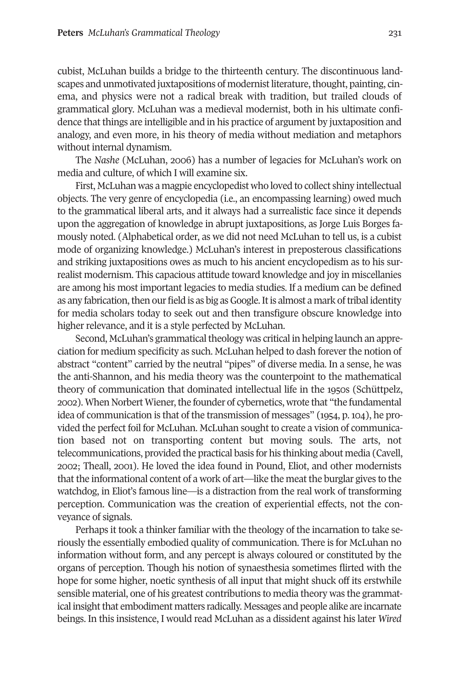cubist, McLuhan builds a bridge to the thirteenth century. The discontinuous landscapes and unmotivated juxtapositions of modernist literature, thought, painting, cinema, and physics were not a radical break with tradition, but trailed clouds of grammatical glory. McLuhan was a medieval modernist, both in his ultimate confidence that things are intelligible and in his practice of argument by juxtaposition and analogy, and even more, in his theory of media without mediation and metaphors without internal dynamism.

The *Nashe* (McLuhan, 2006) has a number of legacies for McLuhan's work on media and culture, of which I will examine six.

First, McLuhan was a magpie encyclopedist who loved to collect shiny intellectual objects. The very genre of encyclopedia (i.e., an encompassing learning) owed much to the grammatical liberal arts, and it always had a surrealistic face since it depends upon the aggregation of knowledge in abrupt juxtapositions, as Jorge Luis Borges famously noted. (Alphabetical order, as we did not need McLuhan to tell us, is a cubist mode of organizing knowledge.) McLuhan's interest in preposterous classifications and striking juxtapositions owes as much to his ancient encyclopedism as to his surrealist modernism. This capacious attitude toward knowledge and joy in miscellanies are among his most important legacies to media studies. If a medium can be defined as any fabrication, then our field is as big as Google. It is almost a mark of tribal identity for media scholars today to seek out and then transfigure obscure knowledge into higher relevance, and it is a style perfected by McLuhan.

Second, McLuhan's grammatical theology was critical in helping launch an appreciation for medium specificity as such. McLuhan helped to dash forever the notion of abstract "content" carried by the neutral "pipes" of diverse media. In a sense, he was the anti-Shannon, and his media theory was the counterpoint to the mathematical theory of communication that dominated intellectual life in the 1950s (Schüttpelz, 2002). When Norbert Wiener, the founder of cybernetics, wrote that "the fundamental idea of communication is that of the transmission of messages" (1954, p.104), he provided the perfect foil for McLuhan. McLuhan sought to create a vision of communication based not on transporting content but moving souls. The arts, not telecommunications, provided the practical basis for his thinking about media (Cavell, 2002; Theall, 2001). He loved the idea found in Pound, Eliot, and other modernists that the informational content of a work of art—like the meat the burglar gives to the watchdog, in Eliot's famous line—is a distraction from the real work of transforming perception. Communication was the creation of experiential effects, not the conveyance of signals.

Perhaps it took a thinker familiar with the theology of the incarnation to take seriously the essentially embodied quality of communication. There is for McLuhan no information without form, and any percept is always coloured or constituted by the organs of perception. Though his notion of synaesthesia sometimes flirted with the hope for some higher, noetic synthesis of all input that might shuck off its erstwhile sensible material, one of his greatest contributions to media theory was the grammatical insightthat embodiment matters radically. Messages and people alike are incarnate beings. In this insistence, I would read McLuhan as a dissident against his later *Wired*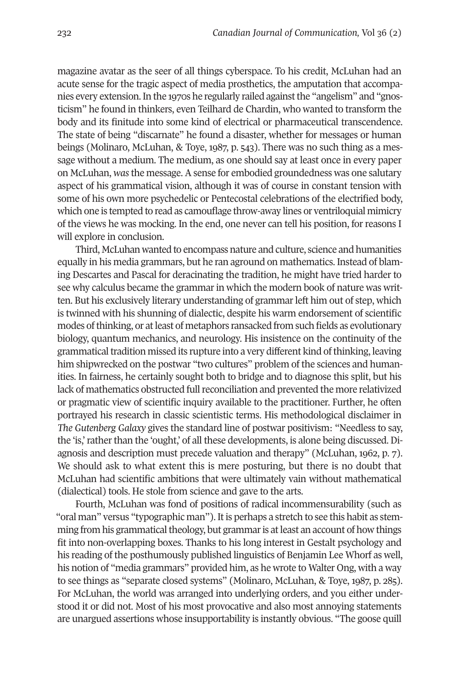magazine avatar as the seer of all things cyberspace. To his credit, McLuhan had an acute sense for the tragic aspect of media prosthetics, the amputation that accompanies every extension.In the 1970s he regularly railed againstthe "angelism" and "gnosticism" he found in thinkers, even Teilhard de Chardin, who wanted to transform the body and its finitude into some kind of electrical or pharmaceutical transcendence. The state of being "discarnate" he found a disaster, whether for messages or human beings (Molinaro, McLuhan, & Toye, 1987, p. 543). There was no such thing as a message without a medium. The medium, as one should say at least once in every paper on McLuhan, *was*the message. A sense for embodied groundedness was one salutary aspect of his grammatical vision, although it was of course in constant tension with some of his own more psychedelic or Pentecostal celebrations of the electrified body, which one is tempted to read as camouflage throw-away lines or ventriloquial mimicry of the views he was mocking. In the end, one never can tell his position, for reasons I will explore in conclusion.

Third, McLuhan wanted to encompass nature and culture, science and humanities equally in his media grammars, but he ran aground on mathematics. Instead of blaming Descartes and Pascal for deracinating the tradition, he might have tried harder to see why calculus became the grammar in which the modern book of nature was written. But his exclusively literary understanding of grammarleft him out of step, which is twinned with his shunning of dialectic, despite his warm endorsement of scientific modes of thinking, or at least of metaphors ransacked from such fields as evolutionary biology, quantum mechanics, and neurology. His insistence on the continuity of the grammatical tradition missed its rupture into a very different kind of thinking, leaving him shipwrecked on the postwar "two cultures" problem of the sciences and humanities. In fairness, he certainly sought both to bridge and to diagnose this split, but his lack of mathematics obstructed full reconciliation and prevented the more relativized or pragmatic view of scientific inquiry available to the practitioner. Further, he often portrayed his research in classic scientistic terms. His methodological disclaimer in *The Gutenberg Galaxy* gives the standard line of postwar positivism: "Needless to say, the 'is,' rather than the 'ought,' of all these developments, is alone being discussed. Diagnosis and description must precede valuation and therapy" (McLuhan, 1962, p. 7). We should ask to what extent this is mere posturing, but there is no doubt that McLuhan had scientific ambitions that were ultimately vain without mathematical (dialectical) tools. He stole from science and gave to the arts.

Fourth, McLuhan was fond of positions of radical incommensurability (such as "oral man" versus "typographic man"). It is perhaps a stretch to see this habit as stemming from his grammatical theology, but grammar is at least an account of how things fit into non-overlapping boxes. Thanks to his long interest in Gestalt psychology and his reading of the posthumously published linguistics of Benjamin Lee Whorf as well, his notion of "media grammars" provided him, as he wrote to Walter Ong, with a way to see things as "separate closed systems" (Molinaro, McLuhan, & Toye, 1987, p. 285). For McLuhan, the world was arranged into underlying orders, and you either understood it or did not. Most of his most provocative and also most annoying statements are unargued assertions whose insupportability is instantly obvious. "The goose quill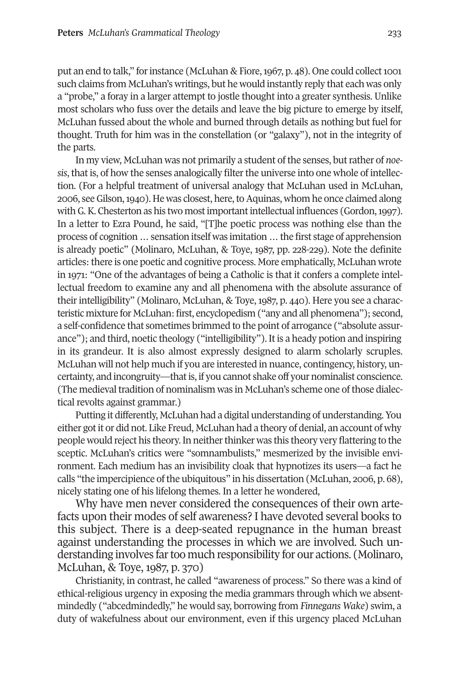put an end to talk," for instance (McLuhan & Fiore,  $1967$ , p.  $48$ ). One could collect 1001 such claims from McLuhan's writings, but he would instantly reply that each was only a "probe," a foray in a larger attempt to jostle thought into a greater synthesis. Unlike most scholars who fuss over the details and leave the big picture to emerge by itself, McLuhan fussed about the whole and burned through details as nothing but fuel for thought. Truth for him was in the constellation (or "galaxy"), not in the integrity of the parts.

In my view, McLuhan was not primarily a student of the senses, butrather of *noesis*, that is, of how the senses analogically filter the universe into one whole of intellection. (For a helpful treatment of universal analogy that McLuhan used in McLuhan, 2006, see Gilson, 1940). He was closest, here, to Aquinas, whom he once claimed along with G.K. Chesterton as his two most important intellectual influences (Gordon, 1997). In a letter to Ezra Pound, he said, "[T]he poetic process was nothing else than the process of cognition…sensation itself was imitation…the first stage of apprehension is already poetic" (Molinaro, McLuhan, & Toye, 1987, pp. 228-229). Note the definite articles: there is one poetic and cognitive process. More emphatically, McLuhan wrote in 1971: "One of the advantages of being a Catholic is that it confers a complete intellectual freedom to examine any and all phenomena with the absolute assurance of their intelligibility" (Molinaro, McLuhan, & Toye, 1987, p. 440). Here you see a characteristic mixture for McLuhan: first, encyclopedism ("any and all phenomena"); second, a self-confidence that sometimes brimmed to the point of arrogance ("absolute assurance"); and third, noetic theology ("intelligibility"). It is a heady potion and inspiring in its grandeur. It is also almost expressly designed to alarm scholarly scruples. McLuhan will not help much if you are interested in nuance, contingency, history, uncertainty, and incongruity—thatis, if you cannot shake off your nominalist conscience. (The medieval tradition of nominalism was in McLuhan's scheme one of those dialectical revolts against grammar.)

Putting it differently, McLuhan had a digital understanding of understanding. You either gotit or did not. Like Freud, McLuhan had a theory of denial, an account of why people would reject his theory. In neither thinker was this theory very flattering to the sceptic. McLuhan's critics were "somnambulists," mesmerized by the invisible environment. Each medium has an invisibility cloak that hypnotizes its users—a fact he calls "the impercipience ofthe ubiquitous" in his dissertation (McLuhan, 2006, p. 68), nicely stating one of his lifelong themes. In a letter he wondered,

Why have men never considered the consequences of their own artefacts upon their modes of self awareness? I have devoted several books to this subject. There is a deep-seated repugnance in the human breast against understanding the processes in which we are involved. Such understanding involves fartoo much responsibility for our actions. (Molinaro, McLuhan, & Toye, 1987, p. 370)

Christianity, in contrast, he called "awareness of process." So there was a kind of ethical-religious urgency in exposing the media grammars through which we absentmindedly ("abcedmindedly," he would say, borrowing from *Finnegans Wake*) swim, a duty of wakefulness about our environment, even if this urgency placed McLuhan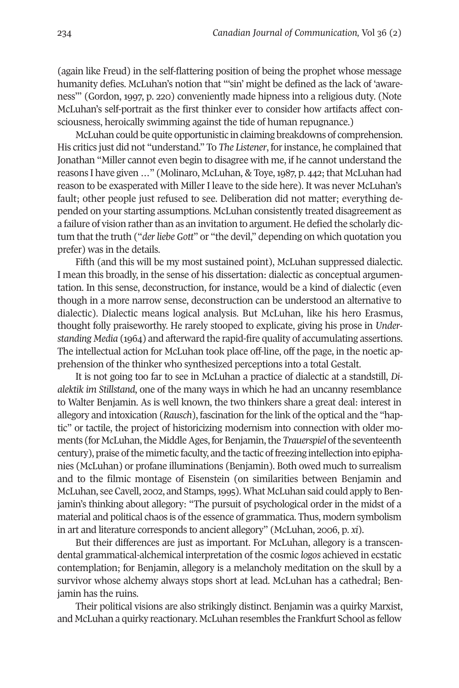(again like Freud) in the self-flattering position of being the prophet whose message humanity defies. McLuhan's notion that "'sin' might be defined as the lack of 'awareness'" (Gordon, 1997, p. 220) conveniently made hipness into a religious duty. (Note McLuhan's self-portrait as the first thinker ever to consider how artifacts affect consciousness, heroically swimming against the tide of human repugnance.)

McLuhan could be quite opportunistic in claiming breakdowns of comprehension. His critics just did not "understand." To *The Listener*, forinstance, he complained that Jonathan "Miller cannot even begin to disagree with me, if he cannot understand the reasons I have given ..." (Molinaro, McLuhan, & Toye, 1987, p. 442; that McLuhan had reason to be exasperated with Miller I leave to the side here). It was never McLuhan's fault; other people just refused to see. Deliberation did not matter; everything depended on your starting assumptions. McLuhan consistently treated disagreement as a failure of vision rather than as an invitation to argument. He defied the scholarly dictum that the truth ("*derliebe Gott*" or "the devil," depending on which quotation you prefer) was in the details.

Fifth (and this will be my most sustained point), McLuhan suppressed dialectic. I mean this broadly, in the sense of his dissertation: dialectic as conceptual argumentation. In this sense, deconstruction, for instance, would be a kind of dialectic (even though in a more narrow sense, deconstruction can be understood an alternative to dialectic). Dialectic means logical analysis. But McLuhan, like his hero Erasmus, thought folly praiseworthy. He rarely stooped to explicate, giving his prose in *Understanding Media* (1964) and afterward the rapid-fire quality of accumulating assertions. The intellectual action for McLuhan took place off-line, off the page, in the noetic apprehension of the thinker who synthesized perceptions into a total Gestalt.

It is not going too far to see in McLuhan a practice of dialectic at a standstill, *Dialektik im Stillstand*, one of the many ways in which he had an uncanny resemblance to Walter Benjamin. As is well known, the two thinkers share a great deal: interest in allegory and intoxication (*Rausch*), fascination forthe link of the optical and the "haptic" or tactile, the project of historicizing modernism into connection with older moments (for McLuhan, the Middle Ages, for Benjamin, the *Trauerspiel* of the seventeenth century), praise of the mimetic faculty, and the tactic of freezing intellection into epiphanies (McLuhan) or profane illuminations (Benjamin). Both owed much to surrealism and to the filmic montage of Eisenstein (on similarities between Benjamin and McLuhan, see Cavell, 2002, and Stamps, 1995). What McLuhan said could apply to Benjamin's thinking about allegory: "The pursuit of psychological order in the midst of a material and political chaos is of the essence of grammatica. Thus, modern symbolism in art and literature corresponds to ancient allegory" (McLuhan, 2006, p. *xi*).

But their differences are just as important. For McLuhan, allegory is a transcendental grammatical-alchemical interpretation of the cosmic *logos* achieved in ecstatic contemplation; for Benjamin, allegory is a melancholy meditation on the skull by a survivor whose alchemy always stops short at lead. McLuhan has a cathedral; Benjamin has the ruins.

Their political visions are also strikingly distinct. Benjamin was a quirky Marxist, and McLuhan a quirky reactionary. McLuhan resembles the Frankfurt School as fellow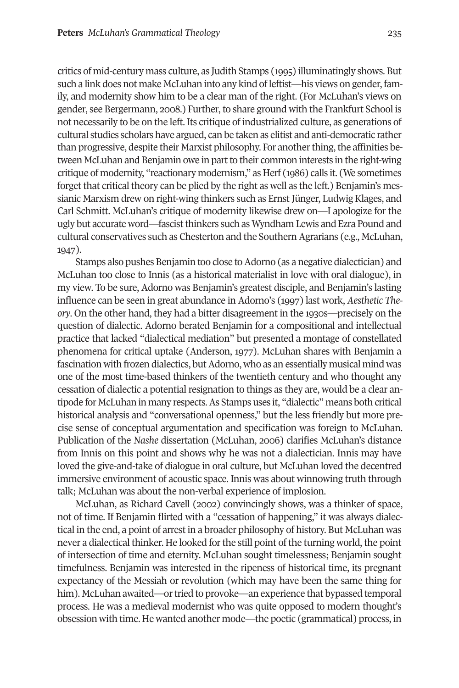critics of mid-century mass culture, as Judith Stamps (1995) illuminatingly shows. But such a link does not make McLuhan into any kind of leftist—his views on gender, family, and modernity show him to be a clear man of the right. (For McLuhan's views on gender, see Bergermann, 2008.) Further, to share ground with the Frankfurt School is not necessarily to be on the left. Its critique of industrialized culture, as generations of cultural studies scholars have argued, can be taken as elitist and anti-democratic rather than progressive, despite their Marxist philosophy. For another thing, the affinities between McLuhan and Benjamin owe in part to their common interests in the right-wing critique of modernity, "reactionary modernism," as Herf (1986) calls it. (We sometimes forget that critical theory can be plied by the right as well as the left.) Benjamin's messianic Marxism drew on right-wing thinkers such as Ernst Jünger, Ludwig Klages, and Carl Schmitt. McLuhan's critique of modernity likewise drew on—I apologize for the ugly but accurate word—fascistthinkers such as Wyndham Lewis and Ezra Pound and cultural conservatives such as Chesterton and the Southern Agrarians (e.g., McLuhan, 1947).

Stamps also pushes Benjamin too close to Adorno (as a negative dialectician) and McLuhan too close to Innis (as a historical materialist in love with oral dialogue), in my view. To be sure, Adorno was Benjamin's greatest disciple, and Benjamin's lasting influence can be seen in great abundance in Adorno's (1997) last work, *Aesthetic Theory*. On the other hand, they had a bitter disagreement in the 1930s—precisely on the question of dialectic. Adorno berated Benjamin for a compositional and intellectual practice that lacked "dialectical mediation" but presented a montage of constellated phenomena for critical uptake (Anderson, 1977). McLuhan shares with Benjamin a fascination with frozen dialectics, but Adorno, who as an essentially musical mind was one of the most time-based thinkers of the twentieth century and who thought any cessation of dialectic a potential resignation to things as they are, would be a clear antipode for McLuhan in many respects.As Stamps uses it, "dialectic" means both critical historical analysis and "conversational openness," but the less friendly but more precise sense of conceptual argumentation and specification was foreign to McLuhan. Publication of the *Nashe* dissertation (McLuhan, 2006) clarifies McLuhan's distance from Innis on this point and shows why he was not a dialectician. Innis may have loved the give-and-take of dialogue in oral culture, but McLuhan loved the decentred immersive environment of acoustic space. Innis was about winnowing truth through talk; McLuhan was about the non-verbal experience of implosion.

McLuhan, as Richard Cavell (2002) convincingly shows, was a thinker of space, not of time. If Benjamin flirted with a "cessation of happening," it was always dialectical in the end, a point of arrest in a broader philosophy of history. But McLuhan was never a dialectical thinker. He looked forthe still point of the turning world, the point of intersection of time and eternity. McLuhan sought timelessness; Benjamin sought timefulness. Benjamin was interested in the ripeness of historical time, its pregnant expectancy of the Messiah or revolution (which may have been the same thing for him). McLuhan awaited—or tried to provoke—an experience that bypassed temporal process. He was a medieval modernist who was quite opposed to modern thought's obsession with time. He wanted another mode—the poetic (grammatical) process, in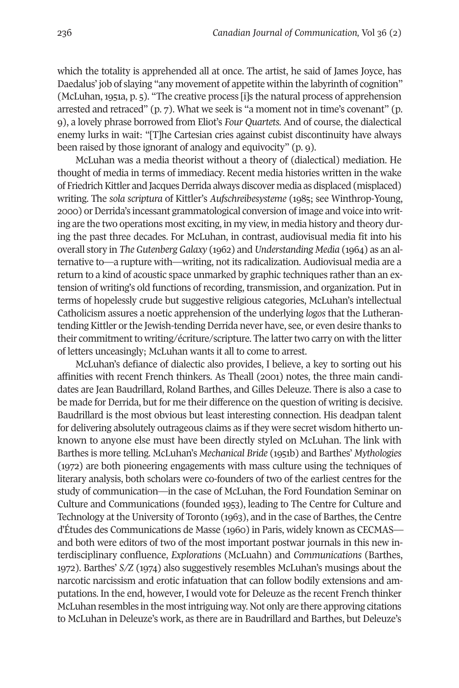which the totality is apprehended all at once. The artist, he said of James Joyce, has Daedalus' job of slaying "any movement of appetite within the labyrinth of cognition" (McLuhan, 1951a, p. 5). "The creative process [i]s the natural process of apprehension arrested and retraced" (p. 7). What we seek is "a moment not in time's covenant" (p. 9), a lovely phrase borrowed from Eliot's *Four Quartets*. And of course, the dialectical enemy lurks in wait: "[T]he Cartesian cries against cubist discontinuity have always been raised by those ignorant of analogy and equivocity" (p. 9).

McLuhan was a media theorist without a theory of (dialectical) mediation. He thought of media in terms of immediacy. Recent media histories written in the wake of Friedrich Kittler and Jacques Derrida always discover media as displaced (misplaced) writing. The *sola scriptura* of Kittler's *Aufschreibesysteme* (1985; see Winthrop-Young, 2000) or Derrida's incessant grammatological conversion of image and voice into writing are the two operations most exciting, in my view, in media history and theory during the past three decades. For McLuhan, in contrast, audiovisual media fit into his overall story in *The Gutenberg Galaxy* (1962) and *Understanding Media* (1964) as an alternative to—a rupture with—writing, not its radicalization. Audiovisual media are a return to a kind of acoustic space unmarked by graphic techniques rather than an extension of writing's old functions of recording, transmission, and organization. Put in terms of hopelessly crude but suggestive religious categories, McLuhan's intellectual Catholicism assures a noetic apprehension of the underlying *logos* that the Lutherantending Kittler or the Jewish-tending Derrida never have, see, or even desire thanks to their commitment to writing/écriture/scripture. The latter two carry on with the litter of letters unceasingly; McLuhan wants it all to come to arrest.

McLuhan's defiance of dialectic also provides, I believe, a key to sorting out his affinities with recent French thinkers. As Theall (2001) notes, the three main candidates are Jean Baudrillard, Roland Barthes, and Gilles Deleuze. There is also a case to be made for Derrida, but for me their difference on the question of writing is decisive. Baudrillard is the most obvious but least interesting connection. His deadpan talent for delivering absolutely outrageous claims as if they were secret wisdom hitherto unknown to anyone else must have been directly styled on McLuhan. The link with Barthes is more telling. McLuhan's *Mechanical Bride* (1951b) and Barthes' *Mythologies* (1972) are both pioneering engagements with mass culture using the techniques of literary analysis, both scholars were co-founders of two of the earliest centres for the study of communication—in the case of McLuhan, the Ford Foundation Seminar on Culture and Communications (founded 1953), leading to The Centre for Culture and Technology at the University of Toronto (1963), and in the case of Barthes, the Centre d'Études des Communications de Masse (1960) in Paris, widely known as CECMAS and both were editors of two of the most important postwar journals in this new interdisciplinary confluence, *Explorations* (McLuahn) and *Communications* (Barthes, 1972). Barthes' *S/Z* (1974) also suggestively resembles McLuhan's musings about the narcotic narcissism and erotic infatuation that can follow bodily extensions and amputations. In the end, however, I would vote for Deleuze as the recent French thinker McLuhan resembles in the mostintriguing way. Not only are there approving citations to McLuhan in Deleuze's work, as there are in Baudrillard and Barthes, but Deleuze's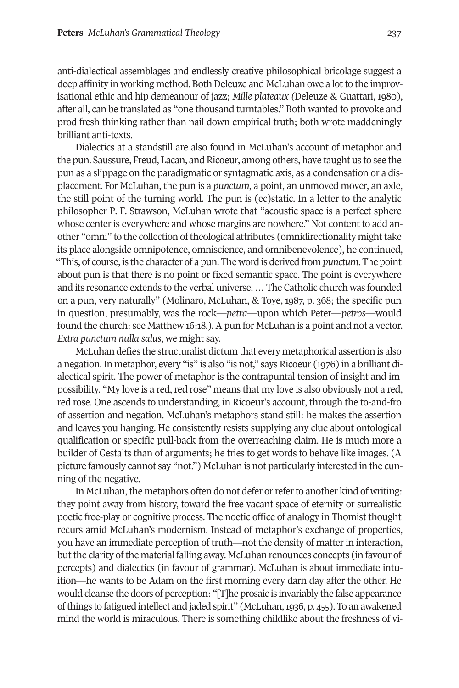anti-dialectical assemblages and endlessly creative philosophical bricolage suggest a deep affinity in working method. Both Deleuze and McLuhan owe a lot to the improvisational ethic and hip demeanour of jazz; *Mille plateaux (*Deleuze & Guattari, 1980), after all, can be translated as "one thousand turntables." Both wanted to provoke and prod fresh thinking rather than nail down empirical truth; both wrote maddeningly brilliant anti-texts.

Dialectics at a standstill are also found in McLuhan's account of metaphor and the pun. Saussure, Freud, Lacan, and Ricoeur, among others, have taught us to see the pun as a slippage on the paradigmatic or syntagmatic axis, as a condensation or a displacement. For McLuhan, the pun is a *punctum*, a point, an unmoved mover, an axle, the still point of the turning world. The pun is (ec)static. In a letter to the analytic philosopher P. F. Strawson, McLuhan wrote that "acoustic space is a perfect sphere whose center is everywhere and whose margins are nowhere." Not content to add another "omni" to the collection oftheological attributes (omnidirectionality mighttake its place alongside omnipotence, omniscience, and omnibenevolence), he continued, "This, of course, is the character of a pun. The word is derived from *punctum*. The point about pun is that there is no point or fixed semantic space. The point is everywhere and its resonance extends to the verbal universe. … The Catholic church was founded on a pun, very naturally" (Molinaro, McLuhan, & Toye, 1987, p. 368; the specific pun in question, presumably, was the rock—*petra*—upon which Peter—*petros*—would found the church: see Matthew 16:18.). A pun for McLuhan is a point and not a vector. *Extra punctum nulla salus*, we might say.

McLuhan defies the structuralist dictum that every metaphorical assertion is also a negation.In metaphor, every "is" is also "is not," says Ricoeur (1976) in a brilliant dialectical spirit. The power of metaphor is the contrapuntal tension of insight and impossibility. "My love is a red, red rose" means that my love is also obviously not a red, red rose. One ascends to understanding, in Ricoeur's account, through the to-and-fro of assertion and negation. McLuhan's metaphors stand still: he makes the assertion and leaves you hanging. He consistently resists supplying any clue about ontological qualification or specific pull-back from the overreaching claim. He is much more a builder of Gestalts than of arguments; he tries to get words to behave like images. (A picture famously cannot say "not.") McLuhan is not particularly interested in the cunning of the negative.

In McLuhan, the metaphors often do not defer or refer to another kind of writing: they point away from history, toward the free vacant space of eternity or surrealistic poetic free-play or cognitive process. The noetic office of analogy in Thomist thought recurs amid McLuhan's modernism. Instead of metaphor's exchange of properties, you have an immediate perception of truth—not the density of matter in interaction, but the clarity of the material falling away. McLuhan renounces concepts (in favour of percepts) and dialectics (in favour of grammar). McLuhan is about immediate intuition—he wants to be Adam on the first morning every darn day after the other. He would cleanse the doors of perception: "[T]he prosaic is invariably the false appearance ofthings to fatigued intellect and jaded spirit" (McLuhan,1936, p. 455). To an awakened mind the world is miraculous. There is something childlike about the freshness of vi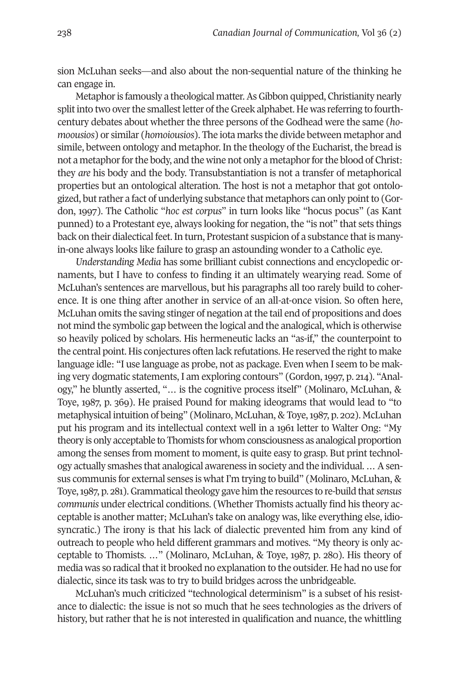sion McLuhan seeks—and also about the non-sequential nature of the thinking he can engage in.

Metaphor is famously a theological matter. As Gibbon quipped, Christianity nearly split into two over the smallest letter of the Greek alphabet. He was referring to fourthcentury debates about whether the three persons of the Godhead were the same (*homoousios*) or similar (*homoiousios*). The iota marks the divide between metaphor and simile, between ontology and metaphor. In the theology of the Eucharist, the bread is not a metaphor for the body, and the wine not only a metaphor for the blood of Christ: they *are* his body and the body. Transubstantiation is not a transfer of metaphorical properties but an ontological alteration. The host is not a metaphor that got ontologized, butrather a fact of underlying substance that metaphors can only pointto (Gordon, 1997). The Catholic "*hoc est corpus*" in turn looks like "hocus pocus" (as Kant punned) to a Protestant eye, always looking for negation, the "is not" that sets things back on their dialectical feet. In turn, Protestant suspicion of a substance that is manyin-one always looks like failure to grasp an astounding wonder to a Catholic eye.

*Understanding Media* has some brilliant cubist connections and encyclopedic ornaments, but I have to confess to finding it an ultimately wearying read. Some of McLuhan's sentences are marvellous, but his paragraphs all too rarely build to coherence. It is one thing after another in service of an all-at-once vision. So often here, McLuhan omits the saving stinger of negation at the tail end of propositions and does not mind the symbolic gap between the logical and the analogical, which is otherwise so heavily policed by scholars. His hermeneutic lacks an "as-if," the counterpoint to the central point. His conjectures often lack refutations. He reserved the right to make language idle: "I use language as probe, not as package. Even when I seem to be making very dogmatic statements, I am exploring contours" (Gordon,1997, p. 214). "Analogy," he bluntly asserted, "… is the cognitive process itself" (Molinaro, McLuhan, & Toye, 1987, p. 369). He praised Pound for making ideograms that would lead to "to metaphysical intuition of being" (Molinaro, McLuhan, & Toye,1987, p. 202). McLuhan put his program and its intellectual context well in a 1961 letter to Walter Ong: "My theory is only acceptable to Thomists for whom consciousness as analogical proportion among the senses from moment to moment, is quite easy to grasp. But print technology actually smashes that analogical awareness in society and the individual. … Asensus communis for external senses is what I'm trying to build" (Molinaro, McLuhan, & Toye,1987, p. 281).Grammaticaltheology gave him the resources to re-build that*sensus communis* under electrical conditions. (Whether Thomists actually find his theory acceptable is another matter; McLuhan's take on analogy was, like everything else, idiosyncratic.) The irony is that his lack of dialectic prevented him from any kind of outreach to people who held different grammars and motives. "My theory is only acceptable to Thomists. …" (Molinaro, McLuhan, & Toye, 1987, p. 280). His theory of media was so radical that it brooked no explanation to the outsider. He had no use for dialectic, since its task was to try to build bridges across the unbridgeable.

McLuhan's much criticized "technological determinism" is a subset of his resistance to dialectic: the issue is not so much that he sees technologies as the drivers of history, but rather that he is not interested in qualification and nuance, the whittling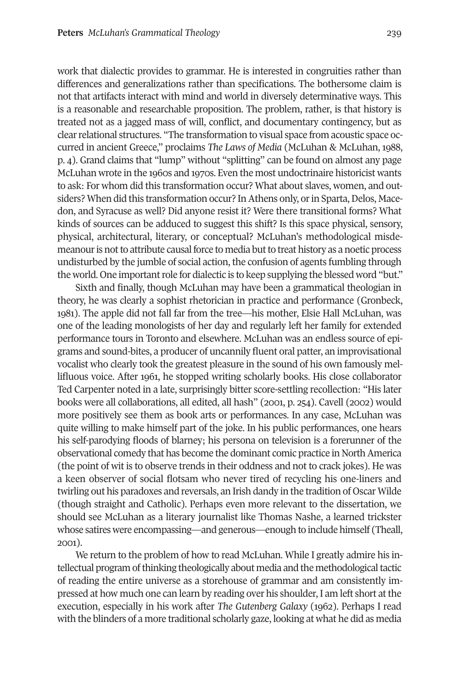work that dialectic provides to grammar. He is interested in congruities rather than differences and generalizations rather than specifications. The bothersome claim is not that artifacts interact with mind and world in diversely determinative ways. This is a reasonable and researchable proposition. The problem, rather, is that history is treated not as a jagged mass of will, conflict, and documentary contingency, but as clear relational structures. "The transformation to visual space from acoustic space occurred in ancient Greece," proclaims *The Laws of Media* (McLuhan & McLuhan, 1988, p. 4). Grand claims that "lump" without "splitting" can be found on almost any page McLuhan wrote in the 1960s and 1970s. Even the most undoctrinaire historicist wants to ask: For whom did this transformation occur? What about slaves, women, and outsiders? When did this transformation occur? In Athens only, or in Sparta, Delos, Macedon, and Syracuse as well? Did anyone resist it? Were there transitional forms? What kinds of sources can be adduced to suggest this shift? Is this space physical, sensory, physical, architectural, literary, or conceptual? McLuhan's methodological misdemeanour is not to attribute causal force to media but to treat history as a noetic process undisturbed by the jumble of social action, the confusion of agents fumbling through the world. One important role for dialectic is to keep supplying the blessed word "but."

Sixth and finally, though McLuhan may have been a grammatical theologian in theory, he was clearly a sophist rhetorician in practice and performance (Gronbeck, 1981). The apple did not fall far from the tree—his mother, Elsie Hall McLuhan, was one of the leading monologists of her day and regularly left her family for extended performance tours in Toronto and elsewhere. McLuhan was an endless source of epigrams and sound-bites, a producer of uncannily fluent oral patter, an improvisational vocalist who clearly took the greatest pleasure in the sound of his own famously mellifluous voice. After 1961, he stopped writing scholarly books. His close collaborator Ted Carpenter noted in a late, surprisingly bitter score-settling recollection: "His later books were all collaborations, all edited, all hash" (2001, p. 254). Cavell (2002) would more positively see them as book arts or performances. In any case, McLuhan was quite willing to make himself part of the joke. In his public performances, one hears his self-parodying floods of blarney; his persona on television is a forerunner of the observational comedy that has become the dominant comic practice in NorthAmerica (the point of wit is to observe trends in their oddness and not to crack jokes). He was a keen observer of social flotsam who never tired of recycling his one-liners and twirling out his paradoxes and reversals, an Irish dandy in the tradition of Oscar Wilde (though straight and Catholic). Perhaps even more relevant to the dissertation, we should see McLuhan as a literary journalist like Thomas Nashe, a learned trickster whose satires were encompassing—and generous—enough to include himself (Theall, 2001).

We return to the problem of how to read McLuhan. While I greatly admire his intellectual program ofthinking theologically about media and the methodologicaltactic of reading the entire universe as a storehouse of grammar and am consistently impressed at how much one can learn by reading over his shoulder, I am left short at the execution, especially in his work after *The Gutenberg Galaxy* (1962). Perhaps I read with the blinders of a more traditional scholarly gaze, looking at what he did as media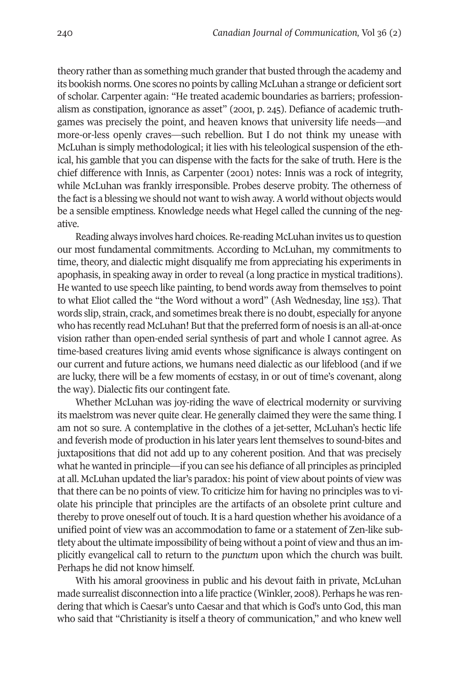theory rather than as something much grander that busted through the academy and its bookish norms. One scores no points by calling McLuhan a strange or deficient sort of scholar. Carpenter again: "He treated academic boundaries as barriers; professionalism as constipation, ignorance as asset" (2001, p. 245). Defiance of academic truthgames was precisely the point, and heaven knows that university life needs—and more-or-less openly craves—such rebellion. But I do not think my unease with McLuhan is simply methodological; it lies with his teleological suspension of the ethical, his gamble that you can dispense with the facts for the sake of truth. Here is the chief difference with Innis, as Carpenter (2001) notes: Innis was a rock of integrity, while McLuhan was frankly irresponsible. Probes deserve probity. The otherness of the fact is a blessing we should not want to wish away. A world without objects would be a sensible emptiness. Knowledge needs what Hegel called the cunning of the negative.

Reading always involves hard choices. Re-reading McLuhan invites us to question our most fundamental commitments. According to McLuhan, my commitments to time, theory, and dialectic might disqualify me from appreciating his experiments in apophasis, in speaking away in order to reveal (a long practice in mystical traditions). He wanted to use speech like painting, to bend words away from themselves to point to what Eliot called the "the Word without a word" (Ash Wednesday, line 153). That words slip, strain, crack, and sometimes break there is no doubt, especially for anyone who has recently read McLuhan! But that the preferred form of noesis is an all-at-once vision rather than open-ended serial synthesis of part and whole I cannot agree. As time-based creatures living amid events whose significance is always contingent on our current and future actions, we humans need dialectic as our lifeblood (and if we are lucky, there will be a few moments of ecstasy, in or out of time's covenant, along the way). Dialectic fits our contingent fate.

Whether McLuhan was joy-riding the wave of electrical modernity or surviving its maelstrom was never quite clear. He generally claimed they were the same thing. I am not so sure. A contemplative in the clothes of a jet-setter, McLuhan's hectic life and feverish mode of production in his later years lent themselves to sound-bites and juxtapositions that did not add up to any coherent position. And that was precisely what he wanted in principle—if you can see his defiance of all principles as principled at all. McLuhan updated the liar's paradox: his point of view about points of view was that there can be no points of view. To criticize him for having no principles was to violate his principle that principles are the artifacts of an obsolete print culture and thereby to prove oneself out of touch. It is a hard question whether his avoidance of a unified point of view was an accommodation to fame or a statement of Zen-like subtlety about the ultimate impossibility of being without a point of view and thus an implicitly evangelical call to return to the *punctum* upon which the church was built. Perhaps he did not know himself.

With his amoral grooviness in public and his devout faith in private, McLuhan made surrealist disconnection into a life practice (Winkler, 2008). Perhaps he was rendering that which is Caesar's unto Caesar and that which is God's unto God, this man who said that "Christianity is itself a theory of communication," and who knew well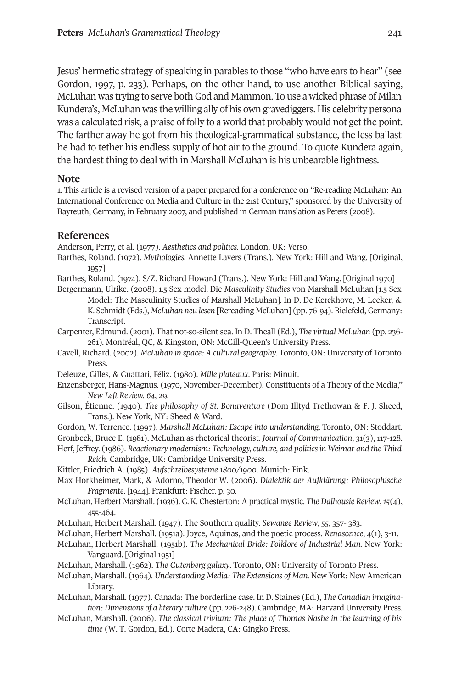Jesus' hermetic strategy of speaking in parables to those "who have ears to hear" (see Gordon, 1997, p. 233). Perhaps, on the other hand, to use another Biblical saying, McLuhan was trying to serve both God and Mammon. To use a wicked phrase of Milan Kundera's, McLuhan was the willing ally of his own gravediggers. His celebrity persona was a calculated risk, a praise of folly to a world that probably would not get the point. The farther away he got from his theological-grammatical substance, the less ballast he had to tether his endless supply of hot air to the ground. To quote Kundera again, the hardest thing to deal with in Marshall McLuhan is his unbearable lightness.

#### **Note**

1. This article is a revised version of a paper prepared for a conference on "Re-reading McLuhan: An International Conference on Media and Culture in the 21st Century," sponsored by the University of Bayreuth, Germany, in February 2007, and published in German translation as Peters (2008).

### **References**

Anderson, Perry, et al. (1977). *Aesthetics and politics*. London, UK: Verso.

- Barthes, Roland. (1972). *Mythologies.* Annette Lavers (Trans.). New York: Hill and Wang. [Original, 1957]
- Barthes, Roland. (1974). S/Z. Richard Howard (Trans.). New York: Hill and Wang. [Original 1970]
- Bergermann, Ulrike. (2008). 1.5 Sex model. Die *Masculinity Studies* von Marshall McLuhan [1.5 Sex Model: The Masculinity Studies of Marshall McLuhan]. In D. De Kerckhove, M. Leeker, & K. Schmidt (Eds.), *McLuhan neu lesen* [Rereading McLuhan] (pp. 76-94). Bielefeld, Germany: Transcript.
- Carpenter, Edmund. (2001). That not-so-silent sea. In D. Theall (Ed.), *The virtual McLuhan* (pp. 236- 261)*.* Montréal, QC, & Kingston, ON: McGill-Queen's University Press.
- Cavell, Richard. (2002). *McLuhan in space: A cultural geography*. Toronto, ON: University of Toronto Press.
- Deleuze, Gilles, & Guattari, Féliz. (1980). *Mille plateaux*. Paris: Minuit.
- Enzensberger, Hans-Magnus. (1970, November-December). Constituents of a Theory of the Media," *New Left Review. 64*, 29.
- Gilson, Étienne. (1940). *The philosophy of St. Bonaventure* (Dom Illtyd Trethowan & F. J. Sheed*,* Trans.). New York, NY: Sheed & Ward.
- Gordon, W. Terrence. (1997). *Marshall McLuhan: Escape into understanding.* Toronto, ON: Stoddart.
- Gronbeck, Bruce E. (1981). McLuhan as rhetorical theorist. *Journal of Communication*, *31*(3), 117-128.
- Herf, Jeffrey. (1986). *Reactionary modernism: Technology, culture, and politicsin Weimar and the Third Reich*. Cambridge, UK: Cambridge University Press.
- Kittler, Friedrich A. (1985). *Aufschreibesysteme 1800/1900*. Munich: Fink.
- Max Horkheimer, Mark, & Adorno, Theodor W. (2006). *Dialektik der Aufklärung: Philosophische Fragmente*. [1944]. Frankfurt: Fischer. p. 30.
- McLuhan, Herbert Marshall. (1936). G. K. Chesterton: A practical mystic. *The Dalhousie Review*,*15*(4), 455-464.
- McLuhan, Herbert Marshall. (1947). The Southern quality. *Sewanee Review*, *55*, 357- 383.
- McLuhan, Herbert Marshall. (1951a). Joyce, Aquinas, and the poetic process. *Renascence*, *4*(1), 3-11.
- McLuhan, Herbert Marshall. (1951b). *The Mechanical Bride: Folklore of Industrial Man.* New York: Vanguard. [Original 1951]
- McLuhan, Marshall. (1962). *The Gutenberg galaxy*. Toronto, ON: University of Toronto Press.
- McLuhan, Marshall. (1964). *Understanding Media: The Extensions of Man.* New York: New American Library.
- McLuhan, Marshall. (1977). Canada: The borderline case. In D. Staines (Ed.), *The Canadian imagination: Dimensions of a literary culture* (pp. 226-248). Cambridge, MA: Harvard University Press.
- McLuhan, Marshall. (2006). *The classical trivium: The place of Thomas Nashe in the learning of his time* (W. T. Gordon, Ed.)*.* Corte Madera, CA: Gingko Press.